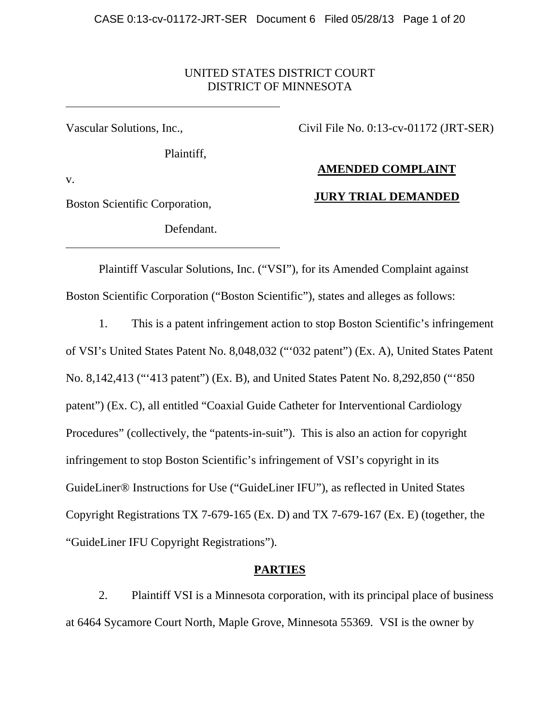### UNITED STATES DISTRICT COURT DISTRICT OF MINNESOTA

Vascular Solutions, Inc.,

Plaintiff,

Civil File No. 0:13-cv-01172 (JRT-SER)

# **AMENDED COMPLAINT**

v.

Boston Scientific Corporation,

Defendant.

# **JURY TRIAL DEMANDED**

Plaintiff Vascular Solutions, Inc. ("VSI"), for its Amended Complaint against Boston Scientific Corporation ("Boston Scientific"), states and alleges as follows:

1. This is a patent infringement action to stop Boston Scientific's infringement of VSI's United States Patent No. 8,048,032 ("'032 patent") (Ex. A), United States Patent No. 8,142,413 ("'413 patent") (Ex. B), and United States Patent No. 8,292,850 ("'850 patent") (Ex. C), all entitled "Coaxial Guide Catheter for Interventional Cardiology Procedures" (collectively, the "patents-in-suit"). This is also an action for copyright infringement to stop Boston Scientific's infringement of VSI's copyright in its GuideLiner® Instructions for Use ("GuideLiner IFU"), as reflected in United States Copyright Registrations TX 7-679-165 (Ex. D) and TX 7-679-167 (Ex. E) (together, the "GuideLiner IFU Copyright Registrations").

# **PARTIES**

2. Plaintiff VSI is a Minnesota corporation, with its principal place of business at 6464 Sycamore Court North, Maple Grove, Minnesota 55369. VSI is the owner by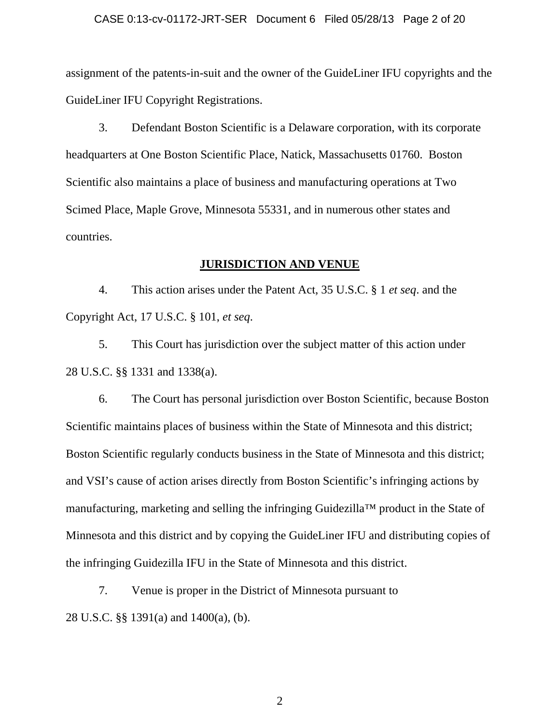#### CASE 0:13-cv-01172-JRT-SER Document 6 Filed 05/28/13 Page 2 of 20

assignment of the patents-in-suit and the owner of the GuideLiner IFU copyrights and the GuideLiner IFU Copyright Registrations.

3. Defendant Boston Scientific is a Delaware corporation, with its corporate headquarters at One Boston Scientific Place, Natick, Massachusetts 01760. Boston Scientific also maintains a place of business and manufacturing operations at Two Scimed Place, Maple Grove, Minnesota 55331, and in numerous other states and countries.

### **JURISDICTION AND VENUE**

4. This action arises under the Patent Act, 35 U.S.C. § 1 *et seq*. and the Copyright Act, 17 U.S.C. § 101, *et seq*.

5. This Court has jurisdiction over the subject matter of this action under 28 U.S.C. §§ 1331 and 1338(a).

6. The Court has personal jurisdiction over Boston Scientific, because Boston Scientific maintains places of business within the State of Minnesota and this district; Boston Scientific regularly conducts business in the State of Minnesota and this district; and VSI's cause of action arises directly from Boston Scientific's infringing actions by manufacturing, marketing and selling the infringing Guidezilla™ product in the State of Minnesota and this district and by copying the GuideLiner IFU and distributing copies of the infringing Guidezilla IFU in the State of Minnesota and this district.

7. Venue is proper in the District of Minnesota pursuant to 28 U.S.C. §§ 1391(a) and 1400(a), (b).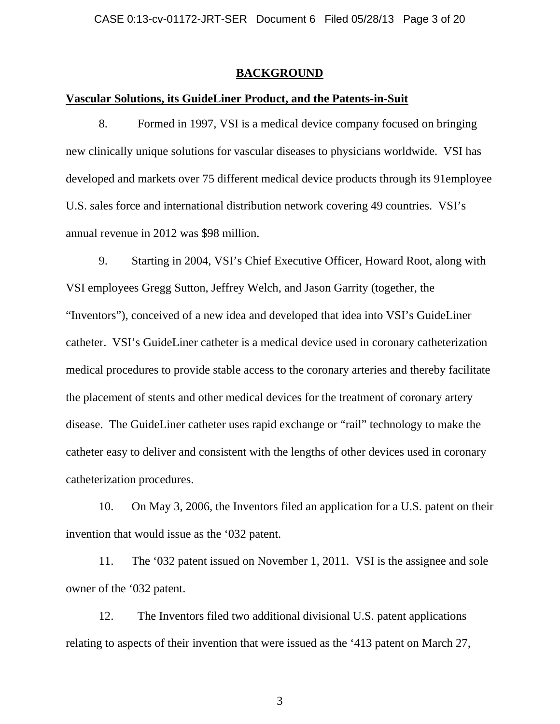### **BACKGROUND**

### **Vascular Solutions, its GuideLiner Product, and the Patents-in-Suit**

8. Formed in 1997, VSI is a medical device company focused on bringing new clinically unique solutions for vascular diseases to physicians worldwide. VSI has developed and markets over 75 different medical device products through its 91employee U.S. sales force and international distribution network covering 49 countries. VSI's annual revenue in 2012 was \$98 million.

9. Starting in 2004, VSI's Chief Executive Officer, Howard Root, along with VSI employees Gregg Sutton, Jeffrey Welch, and Jason Garrity (together, the "Inventors"), conceived of a new idea and developed that idea into VSI's GuideLiner catheter. VSI's GuideLiner catheter is a medical device used in coronary catheterization medical procedures to provide stable access to the coronary arteries and thereby facilitate the placement of stents and other medical devices for the treatment of coronary artery disease. The GuideLiner catheter uses rapid exchange or "rail" technology to make the catheter easy to deliver and consistent with the lengths of other devices used in coronary catheterization procedures.

10. On May 3, 2006, the Inventors filed an application for a U.S. patent on their invention that would issue as the '032 patent.

11. The '032 patent issued on November 1, 2011. VSI is the assignee and sole owner of the '032 patent.

12. The Inventors filed two additional divisional U.S. patent applications relating to aspects of their invention that were issued as the '413 patent on March 27,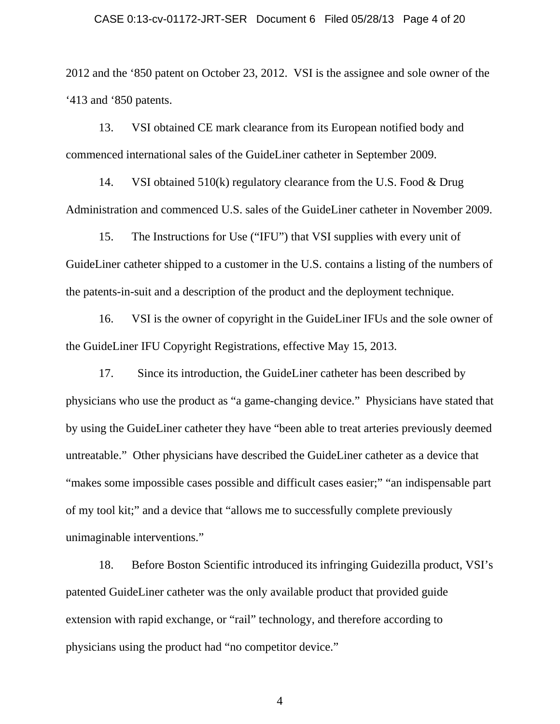#### CASE 0:13-cv-01172-JRT-SER Document 6 Filed 05/28/13 Page 4 of 20

2012 and the '850 patent on October 23, 2012. VSI is the assignee and sole owner of the '413 and '850 patents.

13. VSI obtained CE mark clearance from its European notified body and commenced international sales of the GuideLiner catheter in September 2009.

14. VSI obtained 510(k) regulatory clearance from the U.S. Food & Drug Administration and commenced U.S. sales of the GuideLiner catheter in November 2009.

15. The Instructions for Use ("IFU") that VSI supplies with every unit of GuideLiner catheter shipped to a customer in the U.S. contains a listing of the numbers of the patents-in-suit and a description of the product and the deployment technique.

16. VSI is the owner of copyright in the GuideLiner IFUs and the sole owner of the GuideLiner IFU Copyright Registrations, effective May 15, 2013.

17. Since its introduction, the GuideLiner catheter has been described by physicians who use the product as "a game-changing device." Physicians have stated that by using the GuideLiner catheter they have "been able to treat arteries previously deemed untreatable." Other physicians have described the GuideLiner catheter as a device that "makes some impossible cases possible and difficult cases easier;" "an indispensable part of my tool kit;" and a device that "allows me to successfully complete previously unimaginable interventions."

18. Before Boston Scientific introduced its infringing Guidezilla product, VSI's patented GuideLiner catheter was the only available product that provided guide extension with rapid exchange, or "rail" technology, and therefore according to physicians using the product had "no competitor device."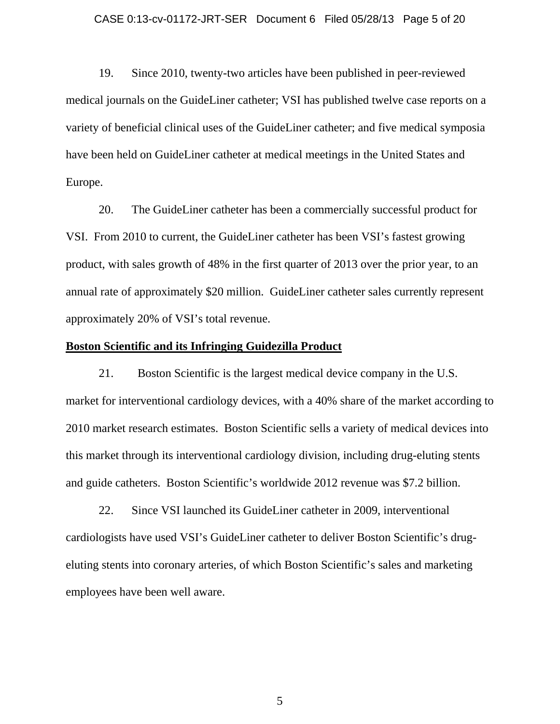#### CASE 0:13-cv-01172-JRT-SER Document 6 Filed 05/28/13 Page 5 of 20

19. Since 2010, twenty-two articles have been published in peer-reviewed medical journals on the GuideLiner catheter; VSI has published twelve case reports on a variety of beneficial clinical uses of the GuideLiner catheter; and five medical symposia have been held on GuideLiner catheter at medical meetings in the United States and Europe.

20. The GuideLiner catheter has been a commercially successful product for VSI. From 2010 to current, the GuideLiner catheter has been VSI's fastest growing product, with sales growth of 48% in the first quarter of 2013 over the prior year, to an annual rate of approximately \$20 million. GuideLiner catheter sales currently represent approximately 20% of VSI's total revenue.

### **Boston Scientific and its Infringing Guidezilla Product**

21. Boston Scientific is the largest medical device company in the U.S. market for interventional cardiology devices, with a 40% share of the market according to 2010 market research estimates. Boston Scientific sells a variety of medical devices into this market through its interventional cardiology division, including drug-eluting stents and guide catheters. Boston Scientific's worldwide 2012 revenue was \$7.2 billion.

22. Since VSI launched its GuideLiner catheter in 2009, interventional cardiologists have used VSI's GuideLiner catheter to deliver Boston Scientific's drugeluting stents into coronary arteries, of which Boston Scientific's sales and marketing employees have been well aware.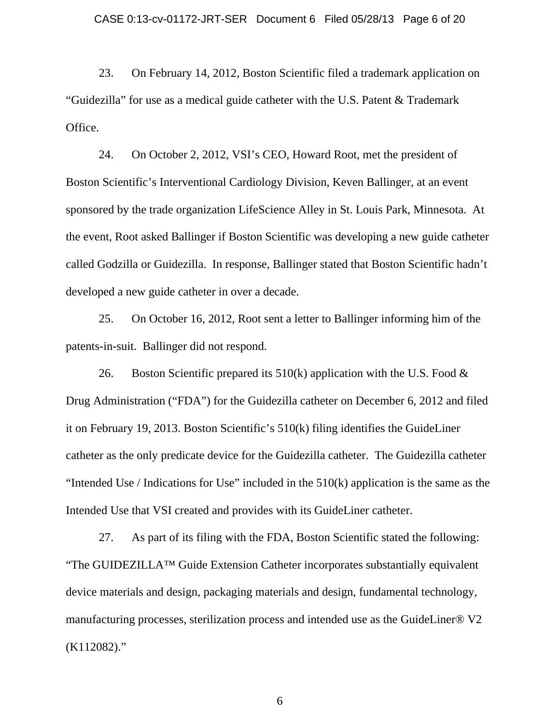23. On February 14, 2012, Boston Scientific filed a trademark application on "Guidezilla" for use as a medical guide catheter with the U.S. Patent & Trademark Office.

24. On October 2, 2012, VSI's CEO, Howard Root, met the president of Boston Scientific's Interventional Cardiology Division, Keven Ballinger, at an event sponsored by the trade organization LifeScience Alley in St. Louis Park, Minnesota. At the event, Root asked Ballinger if Boston Scientific was developing a new guide catheter called Godzilla or Guidezilla. In response, Ballinger stated that Boston Scientific hadn't developed a new guide catheter in over a decade.

25. On October 16, 2012, Root sent a letter to Ballinger informing him of the patents-in-suit. Ballinger did not respond.

26. Boston Scientific prepared its  $510(k)$  application with the U.S. Food  $\&$ Drug Administration ("FDA") for the Guidezilla catheter on December 6, 2012 and filed it on February 19, 2013. Boston Scientific's 510(k) filing identifies the GuideLiner catheter as the only predicate device for the Guidezilla catheter. The Guidezilla catheter "Intended Use / Indications for Use" included in the 510(k) application is the same as the Intended Use that VSI created and provides with its GuideLiner catheter.

27. As part of its filing with the FDA, Boston Scientific stated the following: "The GUIDEZILLA™ Guide Extension Catheter incorporates substantially equivalent device materials and design, packaging materials and design, fundamental technology, manufacturing processes, sterilization process and intended use as the GuideLiner® V2 (K112082)."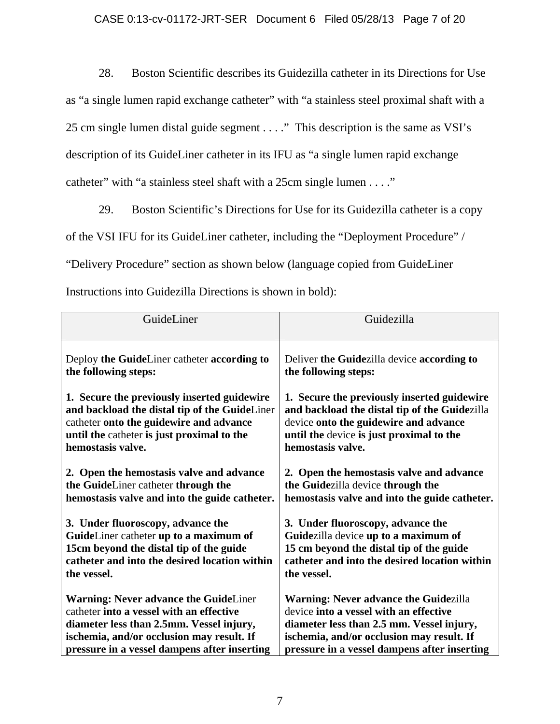28. Boston Scientific describes its Guidezilla catheter in its Directions for Use as "a single lumen rapid exchange catheter" with "a stainless steel proximal shaft with a 25 cm single lumen distal guide segment . . . ." This description is the same as VSI's description of its GuideLiner catheter in its IFU as "a single lumen rapid exchange catheter" with "a stainless steel shaft with a 25cm single lumen . . . ."

29. Boston Scientific's Directions for Use for its Guidezilla catheter is a copy

of the VSI IFU for its GuideLiner catheter, including the "Deployment Procedure" /

"Delivery Procedure" section as shown below (language copied from GuideLiner

Instructions into Guidezilla Directions is shown in bold):

| GuideLiner                                    | Guidezilla                                    |
|-----------------------------------------------|-----------------------------------------------|
| Deploy the GuideLiner catheter according to   | Deliver the Guidezilla device according to    |
| the following steps:                          | the following steps:                          |
| 1. Secure the previously inserted guidewire   | 1. Secure the previously inserted guidewire   |
| and backload the distal tip of the GuideLiner | and backload the distal tip of the Guidezilla |
| catheter onto the guidewire and advance       | device onto the guidewire and advance         |
| until the catheter is just proximal to the    | until the device is just proximal to the      |
| hemostasis valve.                             | hemostasis valve.                             |
| 2. Open the hemostasis valve and advance      | 2. Open the hemostasis valve and advance      |
| the GuideLiner catheter through the           | the Guidezilla device through the             |
| hemostasis valve and into the guide catheter. | hemostasis valve and into the guide catheter. |
| 3. Under fluoroscopy, advance the             | 3. Under fluoroscopy, advance the             |
| GuideLiner catheter up to a maximum of        | Guidezilla device up to a maximum of          |
| 15cm beyond the distal tip of the guide       | 15 cm beyond the distal tip of the guide      |
| catheter and into the desired location within | catheter and into the desired location within |
| the vessel.                                   | the vessel.                                   |
| <b>Warning: Never advance the GuideLiner</b>  | Warning: Never advance the Guidezilla         |
| catheter into a vessel with an effective      | device into a vessel with an effective        |
| diameter less than 2.5mm. Vessel injury,      | diameter less than 2.5 mm. Vessel injury,     |
| ischemia, and/or occlusion may result. If     | ischemia, and/or occlusion may result. If     |
| pressure in a vessel dampens after inserting  | pressure in a vessel dampens after inserting  |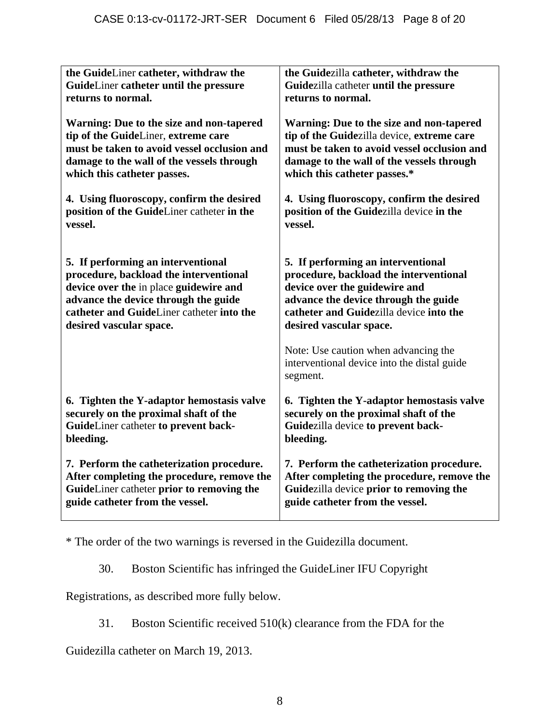| the GuideLiner catheter, withdraw the       | the Guidezilla catheter, withdraw the                                                           |
|---------------------------------------------|-------------------------------------------------------------------------------------------------|
| GuideLiner catheter until the pressure      | Guidezilla catheter until the pressure                                                          |
| returns to normal.                          | returns to normal.                                                                              |
| Warning: Due to the size and non-tapered    | Warning: Due to the size and non-tapered                                                        |
| tip of the GuideLiner, extreme care         | tip of the Guidezilla device, extreme care                                                      |
| must be taken to avoid vessel occlusion and | must be taken to avoid vessel occlusion and                                                     |
| damage to the wall of the vessels through   | damage to the wall of the vessels through                                                       |
| which this catheter passes.                 | which this catheter passes.*                                                                    |
| 4. Using fluoroscopy, confirm the desired   | 4. Using fluoroscopy, confirm the desired                                                       |
| position of the GuideLiner catheter in the  | position of the Guidezilla device in the                                                        |
| vessel.                                     | vessel.                                                                                         |
| 5. If performing an interventional          | 5. If performing an interventional                                                              |
| procedure, backload the interventional      | procedure, backload the interventional                                                          |
| device over the in place guidewire and      | device over the guidewire and                                                                   |
| advance the device through the guide        | advance the device through the guide                                                            |
| catheter and GuideLiner catheter into the   | catheter and Guidezilla device into the                                                         |
| desired vascular space.                     | desired vascular space.                                                                         |
|                                             | Note: Use caution when advancing the<br>interventional device into the distal guide<br>segment. |
| 6. Tighten the Y-adaptor hemostasis valve   | 6. Tighten the Y-adaptor hemostasis valve                                                       |
| securely on the proximal shaft of the       | securely on the proximal shaft of the                                                           |
| GuideLiner catheter to prevent back-        | Guidezilla device to prevent back-                                                              |
| bleeding.                                   | bleeding.                                                                                       |
| 7. Perform the catheterization procedure.   | 7. Perform the catheterization procedure.                                                       |
| After completing the procedure, remove the  | After completing the procedure, remove the                                                      |
| GuideLiner catheter prior to removing the   | Guidezilla device prior to removing the                                                         |
| guide catheter from the vessel.             | guide catheter from the vessel.                                                                 |

\* The order of the two warnings is reversed in the Guidezilla document.

30. Boston Scientific has infringed the GuideLiner IFU Copyright

Registrations, as described more fully below.

31. Boston Scientific received 510(k) clearance from the FDA for the

Guidezilla catheter on March 19, 2013.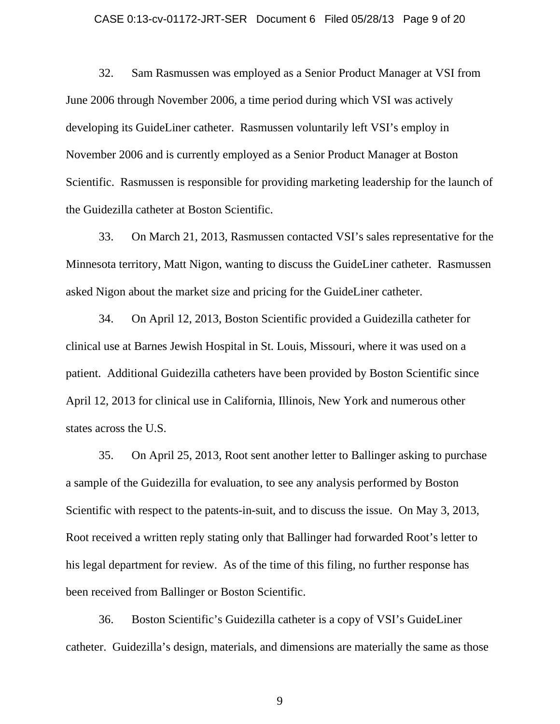#### CASE 0:13-cv-01172-JRT-SER Document 6 Filed 05/28/13 Page 9 of 20

32. Sam Rasmussen was employed as a Senior Product Manager at VSI from June 2006 through November 2006, a time period during which VSI was actively developing its GuideLiner catheter. Rasmussen voluntarily left VSI's employ in November 2006 and is currently employed as a Senior Product Manager at Boston Scientific. Rasmussen is responsible for providing marketing leadership for the launch of the Guidezilla catheter at Boston Scientific.

33. On March 21, 2013, Rasmussen contacted VSI's sales representative for the Minnesota territory, Matt Nigon, wanting to discuss the GuideLiner catheter. Rasmussen asked Nigon about the market size and pricing for the GuideLiner catheter.

34. On April 12, 2013, Boston Scientific provided a Guidezilla catheter for clinical use at Barnes Jewish Hospital in St. Louis, Missouri, where it was used on a patient. Additional Guidezilla catheters have been provided by Boston Scientific since April 12, 2013 for clinical use in California, Illinois, New York and numerous other states across the U.S.

35. On April 25, 2013, Root sent another letter to Ballinger asking to purchase a sample of the Guidezilla for evaluation, to see any analysis performed by Boston Scientific with respect to the patents-in-suit, and to discuss the issue. On May 3, 2013, Root received a written reply stating only that Ballinger had forwarded Root's letter to his legal department for review. As of the time of this filing, no further response has been received from Ballinger or Boston Scientific.

36. Boston Scientific's Guidezilla catheter is a copy of VSI's GuideLiner catheter. Guidezilla's design, materials, and dimensions are materially the same as those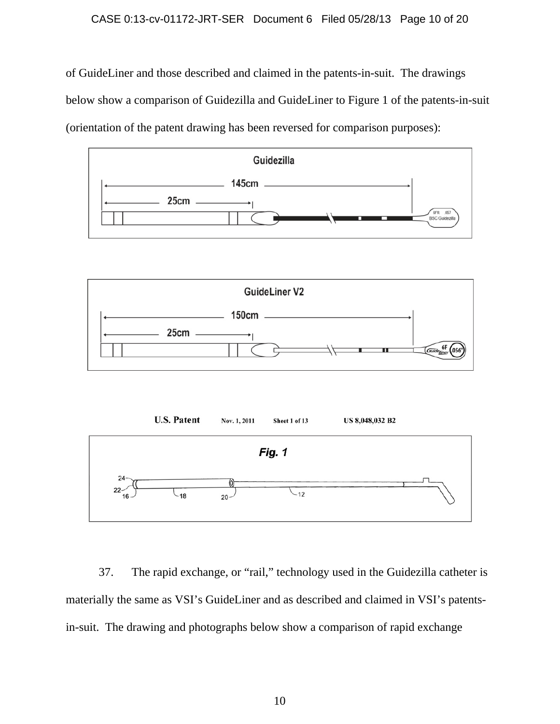### CASE 0:13-cv-01172-JRT-SER Document 6 Filed 05/28/13 Page 10 of 20

of GuideLiner and those described and claimed in the patents-in-suit. The drawings below show a comparison of Guidezilla and GuideLiner to Figure 1 of the patents-in-suit (orientation of the patent drawing has been reversed for comparison purposes):







37. The rapid exchange, or "rail," technology used in the Guidezilla catheter is materially the same as VSI's GuideLiner and as described and claimed in VSI's patentsin-suit. The drawing and photographs below show a comparison of rapid exchange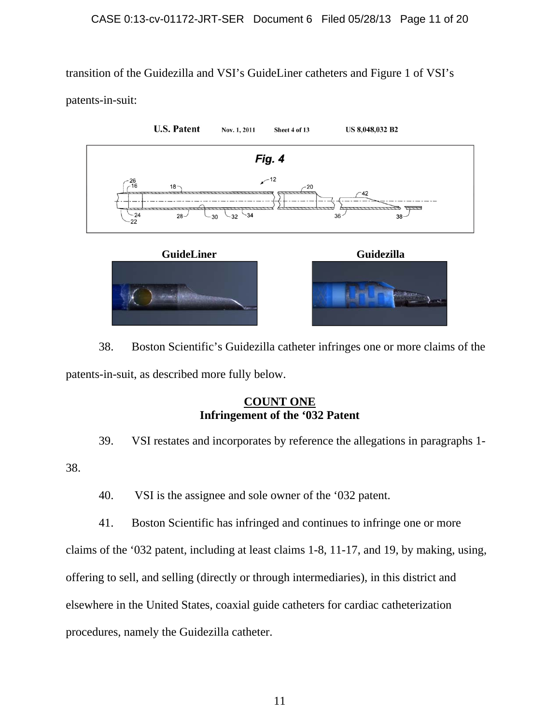transition of the Guidezilla and VSI's GuideLiner catheters and Figure 1 of VSI's

patents-in-suit:



38. Boston Scientific's Guidezilla catheter infringes one or more claims of the patents-in-suit, as described more fully below.

# **COUNT ONE Infringement of the '032 Patent**

39. VSI restates and incorporates by reference the allegations in paragraphs 1-

38.

40. VSI is the assignee and sole owner of the '032 patent.

41. Boston Scientific has infringed and continues to infringe one or more

claims of the '032 patent, including at least claims 1-8, 11-17, and 19, by making, using,

offering to sell, and selling (directly or through intermediaries), in this district and

elsewhere in the United States, coaxial guide catheters for cardiac catheterization

procedures, namely the Guidezilla catheter.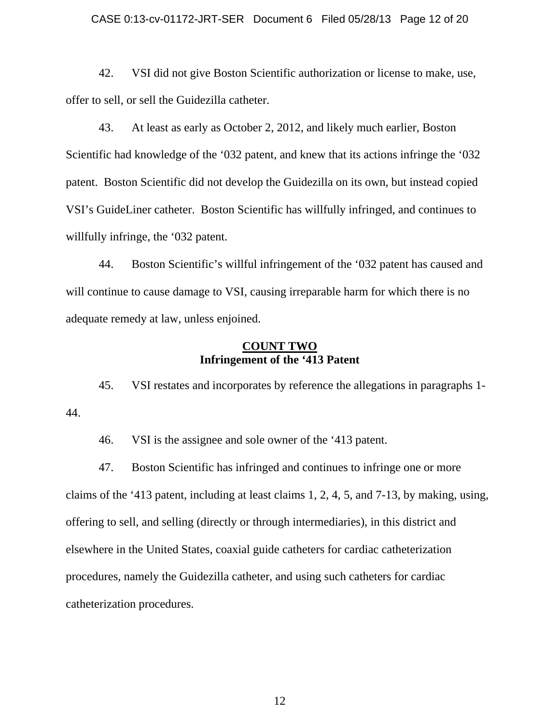#### CASE 0:13-cv-01172-JRT-SER Document 6 Filed 05/28/13 Page 12 of 20

42. VSI did not give Boston Scientific authorization or license to make, use, offer to sell, or sell the Guidezilla catheter.

43. At least as early as October 2, 2012, and likely much earlier, Boston Scientific had knowledge of the '032 patent, and knew that its actions infringe the '032 patent. Boston Scientific did not develop the Guidezilla on its own, but instead copied VSI's GuideLiner catheter. Boston Scientific has willfully infringed, and continues to willfully infringe, the '032 patent.

44. Boston Scientific's willful infringement of the '032 patent has caused and will continue to cause damage to VSI, causing irreparable harm for which there is no adequate remedy at law, unless enjoined.

## **COUNT TWO Infringement of the '413 Patent**

45. VSI restates and incorporates by reference the allegations in paragraphs 1- 44.

46. VSI is the assignee and sole owner of the '413 patent.

47. Boston Scientific has infringed and continues to infringe one or more claims of the '413 patent, including at least claims 1, 2, 4, 5, and 7-13, by making, using, offering to sell, and selling (directly or through intermediaries), in this district and elsewhere in the United States, coaxial guide catheters for cardiac catheterization procedures, namely the Guidezilla catheter, and using such catheters for cardiac catheterization procedures.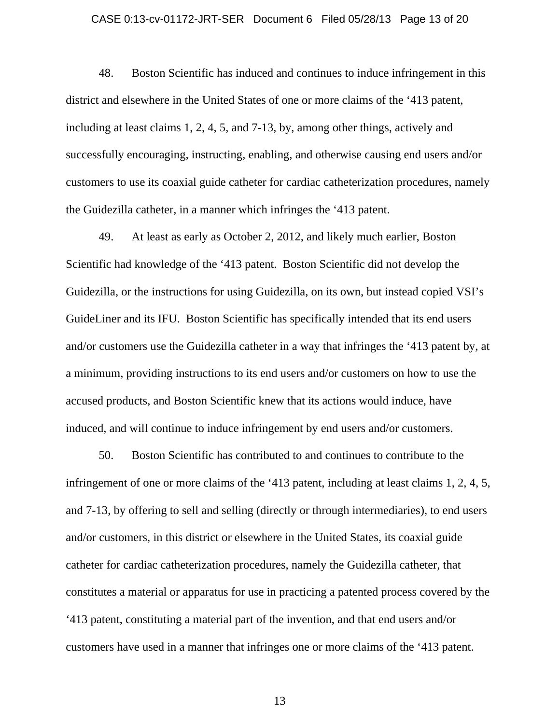#### CASE 0:13-cv-01172-JRT-SER Document 6 Filed 05/28/13 Page 13 of 20

48. Boston Scientific has induced and continues to induce infringement in this district and elsewhere in the United States of one or more claims of the '413 patent, including at least claims 1, 2, 4, 5, and 7-13, by, among other things, actively and successfully encouraging, instructing, enabling, and otherwise causing end users and/or customers to use its coaxial guide catheter for cardiac catheterization procedures, namely the Guidezilla catheter, in a manner which infringes the '413 patent.

49. At least as early as October 2, 2012, and likely much earlier, Boston Scientific had knowledge of the '413 patent. Boston Scientific did not develop the Guidezilla, or the instructions for using Guidezilla, on its own, but instead copied VSI's GuideLiner and its IFU. Boston Scientific has specifically intended that its end users and/or customers use the Guidezilla catheter in a way that infringes the '413 patent by, at a minimum, providing instructions to its end users and/or customers on how to use the accused products, and Boston Scientific knew that its actions would induce, have induced, and will continue to induce infringement by end users and/or customers.

50. Boston Scientific has contributed to and continues to contribute to the infringement of one or more claims of the '413 patent, including at least claims 1, 2, 4, 5, and 7-13, by offering to sell and selling (directly or through intermediaries), to end users and/or customers, in this district or elsewhere in the United States, its coaxial guide catheter for cardiac catheterization procedures, namely the Guidezilla catheter, that constitutes a material or apparatus for use in practicing a patented process covered by the '413 patent, constituting a material part of the invention, and that end users and/or customers have used in a manner that infringes one or more claims of the '413 patent.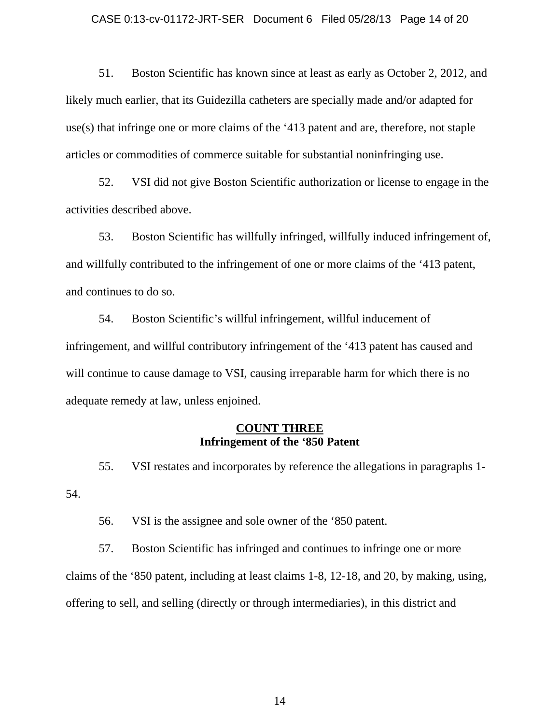#### CASE 0:13-cv-01172-JRT-SER Document 6 Filed 05/28/13 Page 14 of 20

51. Boston Scientific has known since at least as early as October 2, 2012, and likely much earlier, that its Guidezilla catheters are specially made and/or adapted for use(s) that infringe one or more claims of the '413 patent and are, therefore, not staple articles or commodities of commerce suitable for substantial noninfringing use.

52. VSI did not give Boston Scientific authorization or license to engage in the activities described above.

53. Boston Scientific has willfully infringed, willfully induced infringement of, and willfully contributed to the infringement of one or more claims of the '413 patent, and continues to do so.

54. Boston Scientific's willful infringement, willful inducement of infringement, and willful contributory infringement of the '413 patent has caused and will continue to cause damage to VSI, causing irreparable harm for which there is no adequate remedy at law, unless enjoined.

### **COUNT THREE Infringement of the '850 Patent**

55. VSI restates and incorporates by reference the allegations in paragraphs 1- 54.

56. VSI is the assignee and sole owner of the '850 patent.

57. Boston Scientific has infringed and continues to infringe one or more claims of the '850 patent, including at least claims 1-8, 12-18, and 20, by making, using, offering to sell, and selling (directly or through intermediaries), in this district and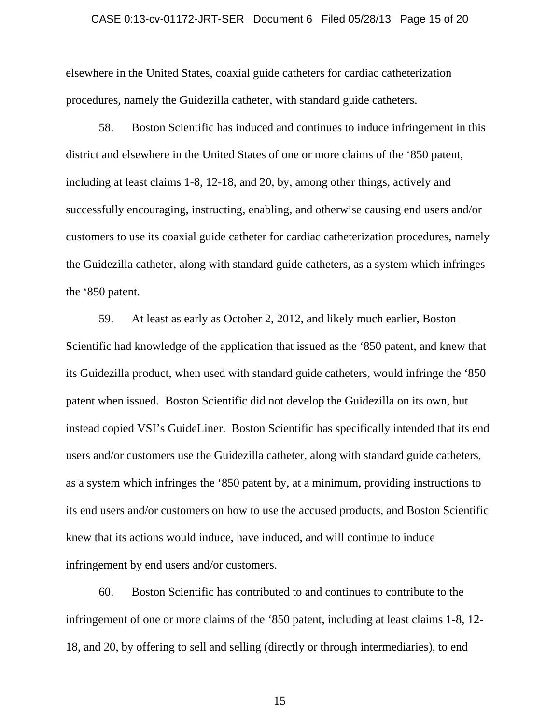#### CASE 0:13-cv-01172-JRT-SER Document 6 Filed 05/28/13 Page 15 of 20

elsewhere in the United States, coaxial guide catheters for cardiac catheterization procedures, namely the Guidezilla catheter, with standard guide catheters.

58. Boston Scientific has induced and continues to induce infringement in this district and elsewhere in the United States of one or more claims of the '850 patent, including at least claims 1-8, 12-18, and 20, by, among other things, actively and successfully encouraging, instructing, enabling, and otherwise causing end users and/or customers to use its coaxial guide catheter for cardiac catheterization procedures, namely the Guidezilla catheter, along with standard guide catheters, as a system which infringes the '850 patent.

59. At least as early as October 2, 2012, and likely much earlier, Boston Scientific had knowledge of the application that issued as the '850 patent, and knew that its Guidezilla product, when used with standard guide catheters, would infringe the '850 patent when issued. Boston Scientific did not develop the Guidezilla on its own, but instead copied VSI's GuideLiner. Boston Scientific has specifically intended that its end users and/or customers use the Guidezilla catheter, along with standard guide catheters, as a system which infringes the '850 patent by, at a minimum, providing instructions to its end users and/or customers on how to use the accused products, and Boston Scientific knew that its actions would induce, have induced, and will continue to induce infringement by end users and/or customers.

60. Boston Scientific has contributed to and continues to contribute to the infringement of one or more claims of the '850 patent, including at least claims 1-8, 12- 18, and 20, by offering to sell and selling (directly or through intermediaries), to end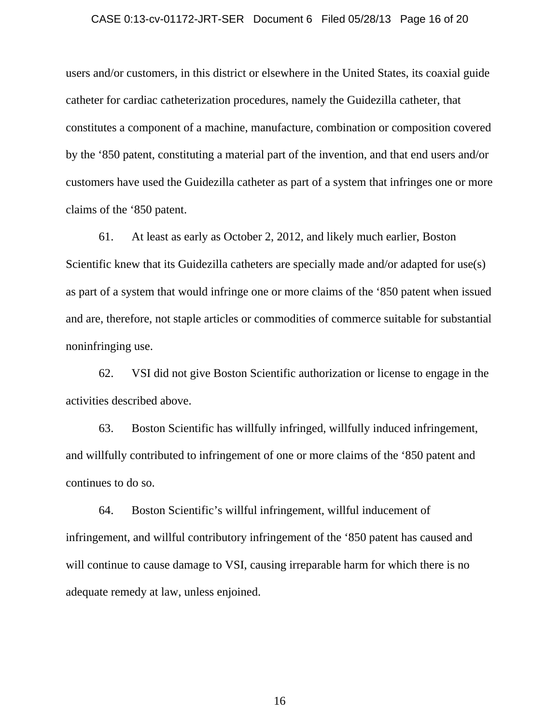#### CASE 0:13-cv-01172-JRT-SER Document 6 Filed 05/28/13 Page 16 of 20

users and/or customers, in this district or elsewhere in the United States, its coaxial guide catheter for cardiac catheterization procedures, namely the Guidezilla catheter, that constitutes a component of a machine, manufacture, combination or composition covered by the '850 patent, constituting a material part of the invention, and that end users and/or customers have used the Guidezilla catheter as part of a system that infringes one or more claims of the '850 patent.

61. At least as early as October 2, 2012, and likely much earlier, Boston Scientific knew that its Guidezilla catheters are specially made and/or adapted for use(s) as part of a system that would infringe one or more claims of the '850 patent when issued and are, therefore, not staple articles or commodities of commerce suitable for substantial noninfringing use.

62. VSI did not give Boston Scientific authorization or license to engage in the activities described above.

63. Boston Scientific has willfully infringed, willfully induced infringement, and willfully contributed to infringement of one or more claims of the '850 patent and continues to do so.

64. Boston Scientific's willful infringement, willful inducement of infringement, and willful contributory infringement of the '850 patent has caused and will continue to cause damage to VSI, causing irreparable harm for which there is no adequate remedy at law, unless enjoined.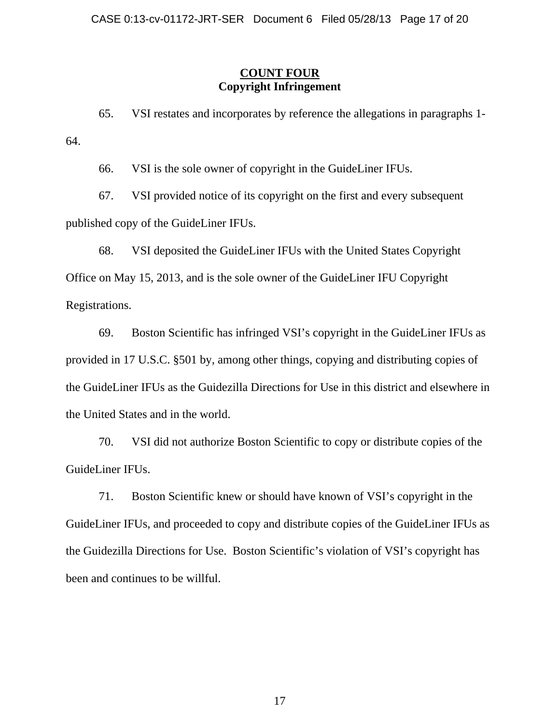# **COUNT FOUR Copyright Infringement**

65. VSI restates and incorporates by reference the allegations in paragraphs 1- 64.

66. VSI is the sole owner of copyright in the GuideLiner IFUs.

67. VSI provided notice of its copyright on the first and every subsequent published copy of the GuideLiner IFUs.

68. VSI deposited the GuideLiner IFUs with the United States Copyright Office on May 15, 2013, and is the sole owner of the GuideLiner IFU Copyright Registrations.

69. Boston Scientific has infringed VSI's copyright in the GuideLiner IFUs as provided in 17 U.S.C. §501 by, among other things, copying and distributing copies of the GuideLiner IFUs as the Guidezilla Directions for Use in this district and elsewhere in the United States and in the world.

70. VSI did not authorize Boston Scientific to copy or distribute copies of the GuideLiner IFUs.

71. Boston Scientific knew or should have known of VSI's copyright in the GuideLiner IFUs, and proceeded to copy and distribute copies of the GuideLiner IFUs as the Guidezilla Directions for Use. Boston Scientific's violation of VSI's copyright has been and continues to be willful.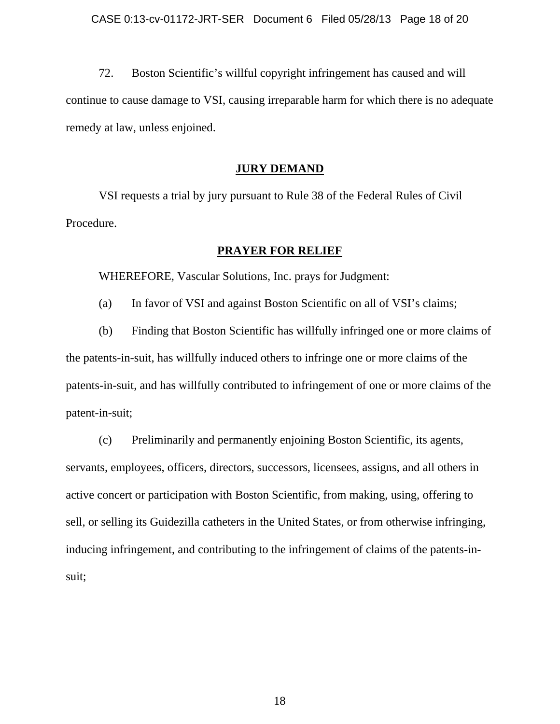72. Boston Scientific's willful copyright infringement has caused and will continue to cause damage to VSI, causing irreparable harm for which there is no adequate remedy at law, unless enjoined.

#### **JURY DEMAND**

VSI requests a trial by jury pursuant to Rule 38 of the Federal Rules of Civil Procedure.

### **PRAYER FOR RELIEF**

WHEREFORE, Vascular Solutions, Inc. prays for Judgment:

(a) In favor of VSI and against Boston Scientific on all of VSI's claims;

(b) Finding that Boston Scientific has willfully infringed one or more claims of the patents-in-suit, has willfully induced others to infringe one or more claims of the patents-in-suit, and has willfully contributed to infringement of one or more claims of the patent-in-suit;

(c) Preliminarily and permanently enjoining Boston Scientific, its agents, servants, employees, officers, directors, successors, licensees, assigns, and all others in active concert or participation with Boston Scientific, from making, using, offering to sell, or selling its Guidezilla catheters in the United States, or from otherwise infringing, inducing infringement, and contributing to the infringement of claims of the patents-insuit;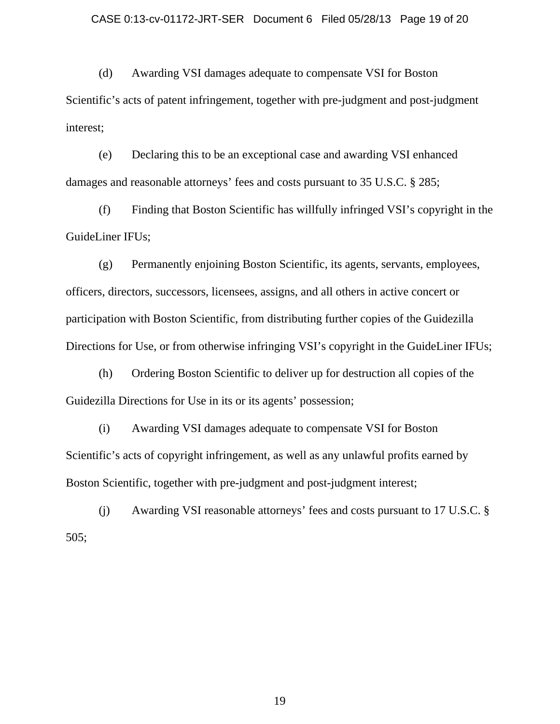(d) Awarding VSI damages adequate to compensate VSI for Boston Scientific's acts of patent infringement, together with pre-judgment and post-judgment interest;

(e) Declaring this to be an exceptional case and awarding VSI enhanced damages and reasonable attorneys' fees and costs pursuant to 35 U.S.C. § 285;

(f) Finding that Boston Scientific has willfully infringed VSI's copyright in the GuideLiner IFUs;

(g) Permanently enjoining Boston Scientific, its agents, servants, employees, officers, directors, successors, licensees, assigns, and all others in active concert or participation with Boston Scientific, from distributing further copies of the Guidezilla Directions for Use, or from otherwise infringing VSI's copyright in the GuideLiner IFUs;

(h) Ordering Boston Scientific to deliver up for destruction all copies of the Guidezilla Directions for Use in its or its agents' possession;

(i) Awarding VSI damages adequate to compensate VSI for Boston Scientific's acts of copyright infringement, as well as any unlawful profits earned by Boston Scientific, together with pre-judgment and post-judgment interest;

(j) Awarding VSI reasonable attorneys' fees and costs pursuant to 17 U.S.C. § 505;